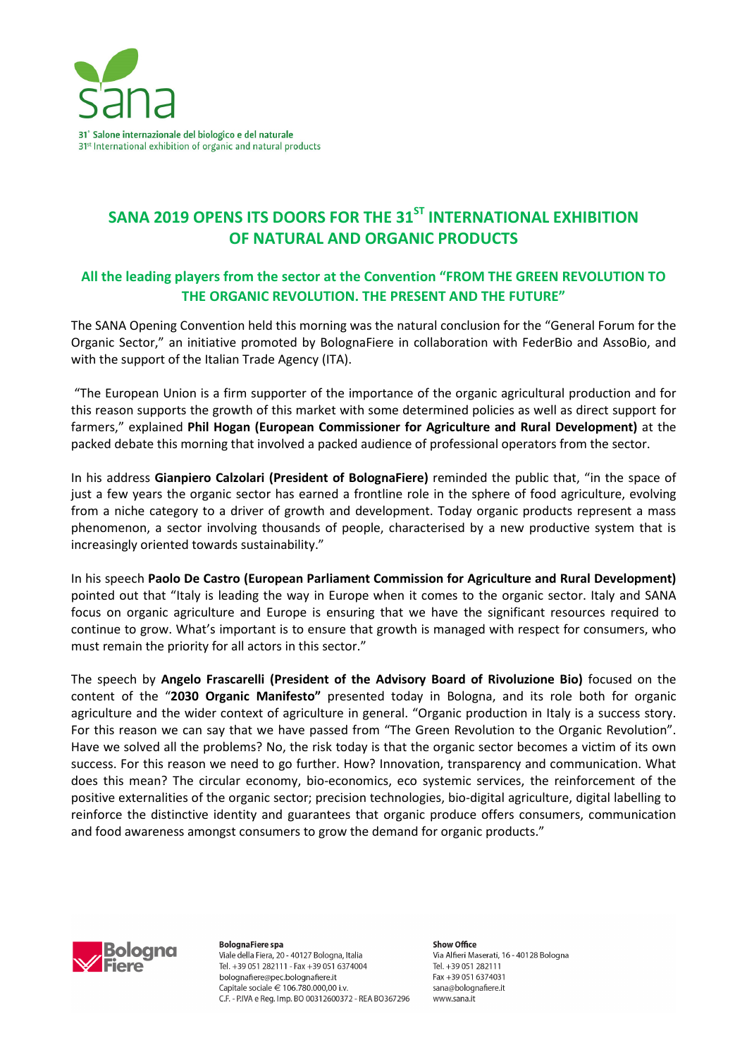

# SANA 2019 OPENS ITS DOORS FOR THE 31<sup>ST</sup> INTERNATIONAL EXHIBITION **OF NATURAL AND ORGANIC PRODUCTS**

## **All the leading players from the sector at the Convention "FROM THE GREEN REVOLUTION TO THE ORGANIC REVOLUTION. THE PRESENT AND THE FUTURE"**

The SANA Opening Convention held this morning was the natural conclusion for the "General Forum for the Organic Sector," an initiative promoted by BolognaFiere in collaboration with FederBio and AssoBio, and with the support of the Italian Trade Agency (ITA).

 "The European Union is a firm supporter of the importance of the organic agricultural production and for this reason supports the growth of this market with some determined policies as well as direct support for farmers," explained **Phil Hogan (European Commissioner for Agriculture and Rural Development)** at the packed debate this morning that involved a packed audience of professional operators from the sector.

In his address **Gianpiero Calzolari (President of BolognaFiere)** reminded the public that, "in the space of just a few years the organic sector has earned a frontline role in the sphere of food agriculture, evolving from a niche category to a driver of growth and development. Today organic products represent a mass phenomenon, a sector involving thousands of people, characterised by a new productive system that is increasingly oriented towards sustainability."

In his speech **Paolo De Castro (European Parliament Commission for Agriculture and Rural Development)**  pointed out that "Italy is leading the way in Europe when it comes to the organic sector. Italy and SANA focus on organic agriculture and Europe is ensuring that we have the significant resources required to continue to grow. What's important is to ensure that growth is managed with respect for consumers, who must remain the priority for all actors in this sector."

The speech by **Angelo Frascarelli (President of the Advisory Board of Rivoluzione Bio)** focused on the content of the "**2030 Organic Manifesto"** presented today in Bologna, and its role both for organic agriculture and the wider context of agriculture in general. "Organic production in Italy is a success story. For this reason we can say that we have passed from "The Green Revolution to the Organic Revolution". Have we solved all the problems? No, the risk today is that the organic sector becomes a victim of its own success. For this reason we need to go further. How? Innovation, transparency and communication. What does this mean? The circular economy, bio-economics, eco systemic services, the reinforcement of the positive externalities of the organic sector; precision technologies, bio-digital agriculture, digital labelling to reinforce the distinctive identity and guarantees that organic produce offers consumers, communication and food awareness amongst consumers to grow the demand for organic products."



**BolognaFiere spa** Viale della Fiera, 20 - 40127 Bologna, Italia Tel. +39 051 282111 - Fax +39 051 6374004 bolognafiere@pec.bolognafiere.it Capitale sociale € 106.780.000.00 i.v. C.F. - P.IVA e Reg. Imp. BO 00312600372 - REA BO367296

Show Office Via Alfieri Maserati, 16 - 40128 Bologna Tel. +39 051 282111 Fax +39 051 6374031 sana@bolognafiere.it www.sana.it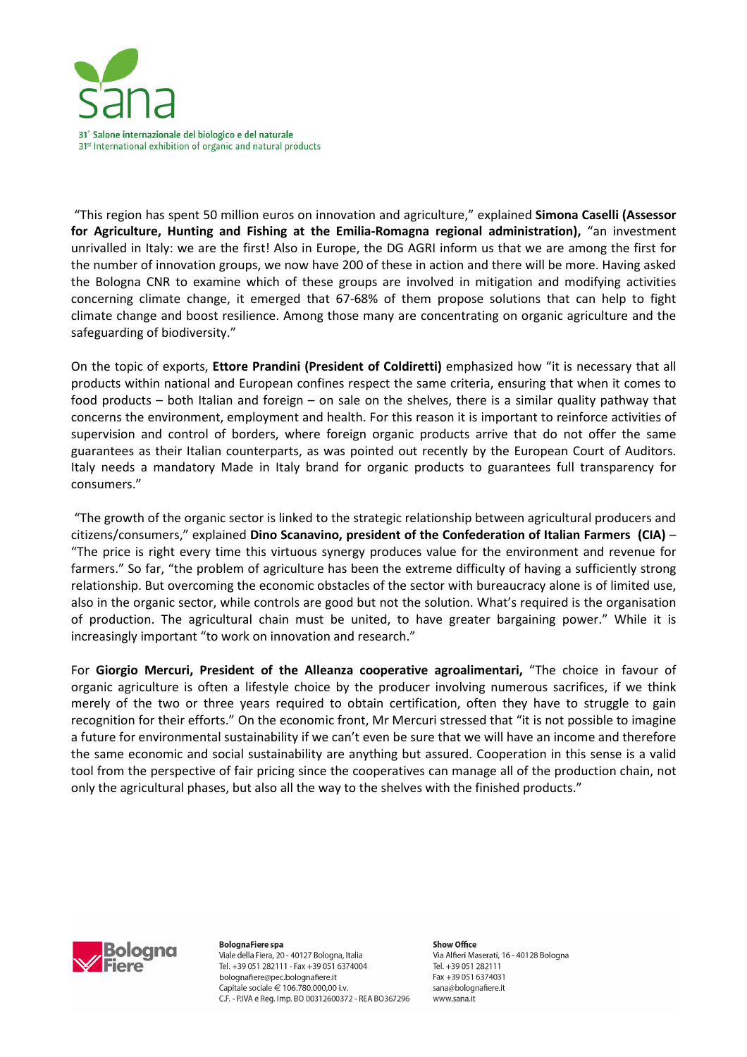

 "This region has spent 50 million euros on innovation and agriculture," explained **Simona Caselli (Assessor for Agriculture, Hunting and Fishing at the Emilia-Romagna regional administration),** "an investment unrivalled in Italy: we are the first! Also in Europe, the DG AGRI inform us that we are among the first for the number of innovation groups, we now have 200 of these in action and there will be more. Having asked the Bologna CNR to examine which of these groups are involved in mitigation and modifying activities concerning climate change, it emerged that 67-68% of them propose solutions that can help to fight climate change and boost resilience. Among those many are concentrating on organic agriculture and the safeguarding of biodiversity."

On the topic of exports, **Ettore Prandini (President of Coldiretti)** emphasized how "it is necessary that all products within national and European confines respect the same criteria, ensuring that when it comes to food products – both Italian and foreign – on sale on the shelves, there is a similar quality pathway that concerns the environment, employment and health. For this reason it is important to reinforce activities of supervision and control of borders, where foreign organic products arrive that do not offer the same guarantees as their Italian counterparts, as was pointed out recently by the European Court of Auditors. Italy needs a mandatory Made in Italy brand for organic products to guarantees full transparency for consumers."

 "The growth of the organic sector is linked to the strategic relationship between agricultural producers and citizens/consumers," explained **Dino Scanavino, president of the Confederation of Italian Farmers (CIA)** – "The price is right every time this virtuous synergy produces value for the environment and revenue for farmers." So far, "the problem of agriculture has been the extreme difficulty of having a sufficiently strong relationship. But overcoming the economic obstacles of the sector with bureaucracy alone is of limited use, also in the organic sector, while controls are good but not the solution. What's required is the organisation of production. The agricultural chain must be united, to have greater bargaining power." While it is increasingly important "to work on innovation and research."

For **Giorgio Mercuri, President of the Alleanza cooperative agroalimentari,** "The choice in favour of organic agriculture is often a lifestyle choice by the producer involving numerous sacrifices, if we think merely of the two or three years required to obtain certification, often they have to struggle to gain recognition for their efforts." On the economic front, Mr Mercuri stressed that "it is not possible to imagine a future for environmental sustainability if we can't even be sure that we will have an income and therefore the same economic and social sustainability are anything but assured. Cooperation in this sense is a valid tool from the perspective of fair pricing since the cooperatives can manage all of the production chain, not only the agricultural phases, but also all the way to the shelves with the finished products."



**BolognaFiere spa** Viale della Fiera, 20 - 40127 Bologna, Italia Tel. +39 051 282111 - Fax +39 051 6374004 bolognafiere@pec.bolognafiere.it Capitale sociale € 106.780.000.00 i.v. C.F. - P.IVA e Reg. Imp. BO 00312600372 - REA BO367296

Show Office Via Alfieri Maserati, 16 - 40128 Bologna Tel. +39 051 282111 Fax +39 051 6374031 sana@bolognafiere.it www.sana.it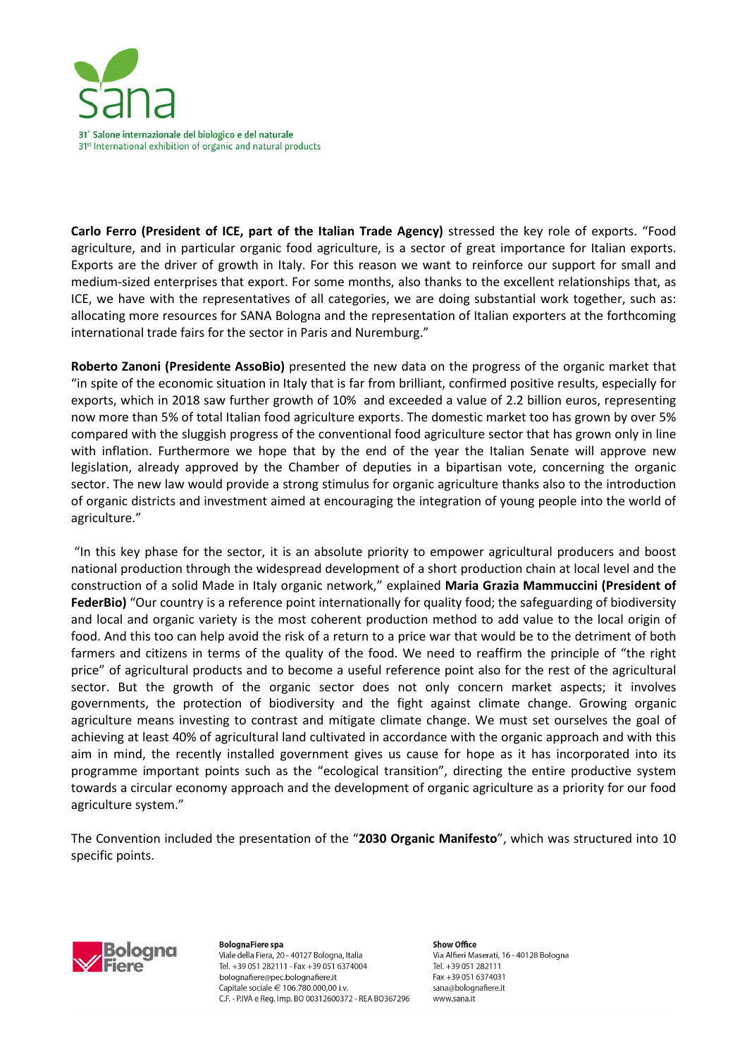

**Carlo Ferro (President of ICE, part of the Italian Trade Agency)** stressed the key role of exports. "Food agriculture, and in particular organic food agriculture, is a sector of great importance for Italian exports. Exports are the driver of growth in Italy. For this reason we want to reinforce our support for small and medium-sized enterprises that export. For some months, also thanks to the excellent relationships that, as ICE, we have with the representatives of all categories, we are doing substantial work together, such as: allocating more resources for SANA Bologna and the representation of Italian exporters at the forthcoming international trade fairs for the sector in Paris and Nuremburg."

**Roberto Zanoni (Presidente AssoBio)** presented the new data on the progress of the organic market that "in spite of the economic situation in Italy that is far from brilliant, confirmed positive results, especially for exports, which in 2018 saw further growth of 10% and exceeded a value of 2.2 billion euros, representing now more than 5% of total Italian food agriculture exports. The domestic market too has grown by over 5% compared with the sluggish progress of the conventional food agriculture sector that has grown only in line with inflation. Furthermore we hope that by the end of the year the Italian Senate will approve new legislation, already approved by the Chamber of deputies in a bipartisan vote, concerning the organic sector. The new law would provide a strong stimulus for organic agriculture thanks also to the introduction of organic districts and investment aimed at encouraging the integration of young people into the world of agriculture."

 "In this key phase for the sector, it is an absolute priority to empower agricultural producers and boost national production through the widespread development of a short production chain at local level and the construction of a solid Made in Italy organic network," explained **Maria Grazia Mammuccini (President of**  FederBio) "Our country is a reference point internationally for quality food; the safeguarding of biodiversity and local and organic variety is the most coherent production method to add value to the local origin of food. And this too can help avoid the risk of a return to a price war that would be to the detriment of both farmers and citizens in terms of the quality of the food. We need to reaffirm the principle of "the right price" of agricultural products and to become a useful reference point also for the rest of the agricultural sector. But the growth of the organic sector does not only concern market aspects; it involves governments, the protection of biodiversity and the fight against climate change. Growing organic agriculture means investing to contrast and mitigate climate change. We must set ourselves the goal of achieving at least 40% of agricultural land cultivated in accordance with the organic approach and with this aim in mind, the recently installed government gives us cause for hope as it has incorporated into its programme important points such as the "ecological transition", directing the entire productive system towards a circular economy approach and the development of organic agriculture as a priority for our food agriculture system."

The Convention included the presentation of the "**2030 Organic Manifesto**", which was structured into 10 specific points.



**BolognaFiere spa** Viale della Fiera, 20 - 40127 Bologna, Italia Tel. +39 051 282111 - Fax +39 051 6374004 bolognafiere@pec.bolognafiere.it Capitale sociale € 106.780.000.00 i.v. C.F. - P.IVA e Reg. Imp. BO 00312600372 - REA BO367296

Show Office Via Alfieri Maserati, 16 - 40128 Bologna Tel. +39 051 282111 Fax +39 051 6374031 sana@bolognafiere.it www.sana.it